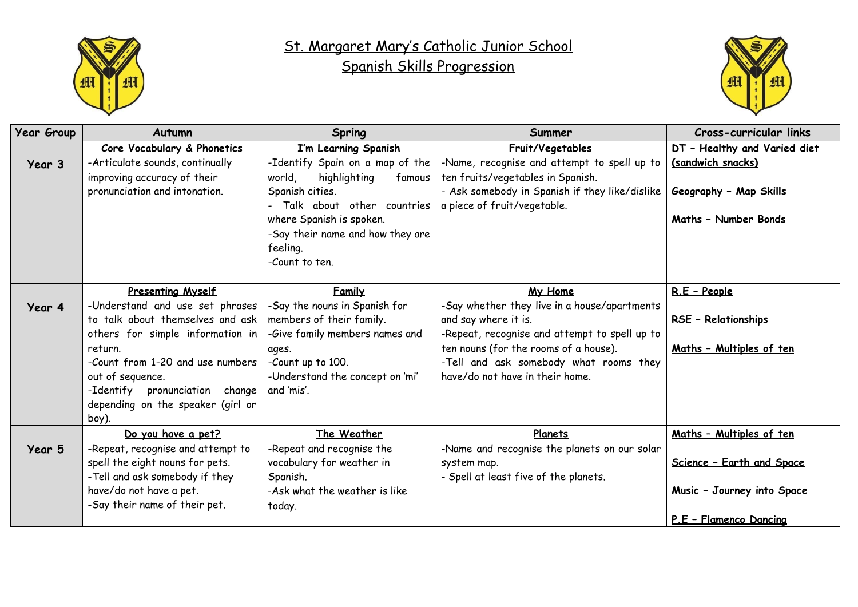

## St. Margaret Mary's Catholic Junior School Spanish Skills Progression



| <b>Year Group</b> | Autumn                                                                                                                                                                                                                                                                                 | <b>Spring</b>                                                                                                                                                                                                                              | Summer                                                                                                                                                                                                                                                 | Cross-curricular links                                                                                               |
|-------------------|----------------------------------------------------------------------------------------------------------------------------------------------------------------------------------------------------------------------------------------------------------------------------------------|--------------------------------------------------------------------------------------------------------------------------------------------------------------------------------------------------------------------------------------------|--------------------------------------------------------------------------------------------------------------------------------------------------------------------------------------------------------------------------------------------------------|----------------------------------------------------------------------------------------------------------------------|
| Year 3            | Core Vocabulary & Phonetics<br>-Articulate sounds, continually<br>improving accuracy of their<br>pronunciation and intonation.                                                                                                                                                         | I'm Learning Spanish<br>-Identify Spain on a map of the<br>highlighting<br>world.<br>famous<br>Spanish cities.<br>Talk about other countries<br>where Spanish is spoken.<br>-Say their name and how they are<br>feeling.<br>-Count to ten. | Fruit/Vegetables<br>-Name, recognise and attempt to spell up to<br>ten fruits/vegetables in Spanish.<br>- Ask somebody in Spanish if they like/dislike<br>a piece of fruit/vegetable.                                                                  | DT - Healthy and Varied diet<br>(sandwich snacks)<br>Geography - Map Skills<br>Maths - Number Bonds                  |
| Year 4            | <b>Presenting Myself</b><br>-Understand and use set phrases<br>to talk about themselves and ask<br>others for simple information in<br>return.<br>-Count from 1-20 and use numbers<br>out of sequence.<br>-Identify pronunciation change<br>depending on the speaker (girl or<br>boy). | Family<br>-Say the nouns in Spanish for<br>members of their family.<br>-Give family members names and<br>ages.<br>-Count up to 100.<br>-Understand the concept on 'mi'<br>and 'mis'.                                                       | My Home<br>-Say whether they live in a house/apartments<br>and say where it is.<br>-Repeat, recognise and attempt to spell up to<br>ten nouns (for the rooms of a house).<br>-Tell and ask somebody what rooms they<br>have/do not have in their home. | R.E - People<br>RSE - Relationships<br>Maths - Multiples of ten                                                      |
| Year 5            | Do you have a pet?<br>-Repeat, recognise and attempt to<br>spell the eight nouns for pets.<br>-Tell and ask somebody if they<br>have/do not have a pet.<br>-Say their name of their pet.                                                                                               | The Weather<br>-Repeat and recognise the<br>vocabulary for weather in<br>Spanish.<br>-Ask what the weather is like<br>today.                                                                                                               | Planets<br>-Name and recognise the planets on our solar<br>system map.<br>- Spell at least five of the planets.                                                                                                                                        | Maths - Multiples of ten<br>Science - Earth and Space<br><u>Music - Journey into Space</u><br>P.E - Flamenco Dancing |